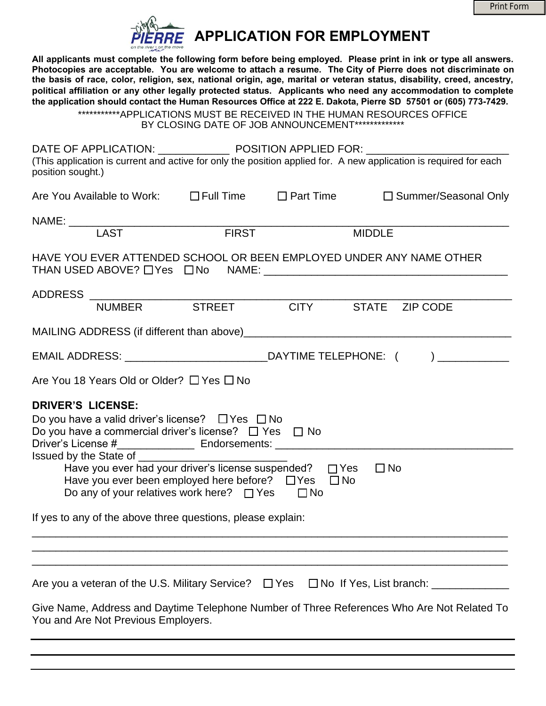|  | <b>Print Form</b> |
|--|-------------------|
|  |                   |



**All applicants must complete the following form before being employed. Please print in ink or type all answers. Photocopies are acceptable. You are welcome to attach a resume. The City of Pierre does not discriminate on the basis of race, color, religion, sex, national origin, age, marital or veteran status, disability, creed, ancestry, political affiliation or any other legally protected status. Applicants who need any accommodation to complete the application should contact the Human Resources Office at 222 E. Dakota, Pierre SD 57501 or (605) 773-7429.** 

\*\*\*\*\*\*\*\*\*\*\*APPLICATIONS MUST BE RECEIVED IN THE HUMAN RESOURCES OFFICE BY CLOSING DATE OF JOB ANNOUNCEMENT\*\*\*\*\*\*\*\*\*\*\*\*\*\*

| position sought.)                                                                                                                                                                                                                                                                                                                                                                                       |       |  | (This application is current and active for only the position applied for. A new application is required for each |  |  |
|---------------------------------------------------------------------------------------------------------------------------------------------------------------------------------------------------------------------------------------------------------------------------------------------------------------------------------------------------------------------------------------------------------|-------|--|-------------------------------------------------------------------------------------------------------------------|--|--|
|                                                                                                                                                                                                                                                                                                                                                                                                         |       |  | Are You Available to Work: □ Full Time □ Part Time □ Summer/Seasonal Only                                         |  |  |
| NAME: LAST                                                                                                                                                                                                                                                                                                                                                                                              |       |  |                                                                                                                   |  |  |
|                                                                                                                                                                                                                                                                                                                                                                                                         | FIRST |  | <b>MIDDLE</b>                                                                                                     |  |  |
| HAVE YOU EVER ATTENDED SCHOOL OR BEEN EMPLOYED UNDER ANY NAME OTHER                                                                                                                                                                                                                                                                                                                                     |       |  |                                                                                                                   |  |  |
|                                                                                                                                                                                                                                                                                                                                                                                                         |       |  |                                                                                                                   |  |  |
| ADDRESS NUMBER STREET CITY STATE ZIP CODE                                                                                                                                                                                                                                                                                                                                                               |       |  |                                                                                                                   |  |  |
|                                                                                                                                                                                                                                                                                                                                                                                                         |       |  |                                                                                                                   |  |  |
| EMAIL ADDRESS: __________________________________DAYTIME TELEPHONE: ( ) _____________                                                                                                                                                                                                                                                                                                                   |       |  |                                                                                                                   |  |  |
| Are You 18 Years Old or Older? $\Box$ Yes $\Box$ No                                                                                                                                                                                                                                                                                                                                                     |       |  |                                                                                                                   |  |  |
| <b>DRIVER'S LICENSE:</b><br>Do you have a valid driver's license? $\Box$ Yes $\Box$ No<br>Do you have a commercial driver's license? $\Box$ Yes $\Box$ No<br>Issued by the State of _______<br>$\square$ No<br>Have you ever been employed here before? $\Box$ Yes $\Box$ No<br>Do any of your relatives work here? $\Box$ Yes $\Box$ No<br>If yes to any of the above three questions, please explain: |       |  |                                                                                                                   |  |  |
|                                                                                                                                                                                                                                                                                                                                                                                                         |       |  |                                                                                                                   |  |  |
| Are you a veteran of the U.S. Military Service? □ Yes □ No If Yes, List branch: ____________<br>Give Name, Address and Daytime Telephone Number of Three References Who Are Not Related To                                                                                                                                                                                                              |       |  |                                                                                                                   |  |  |
| You and Are Not Previous Employers.                                                                                                                                                                                                                                                                                                                                                                     |       |  |                                                                                                                   |  |  |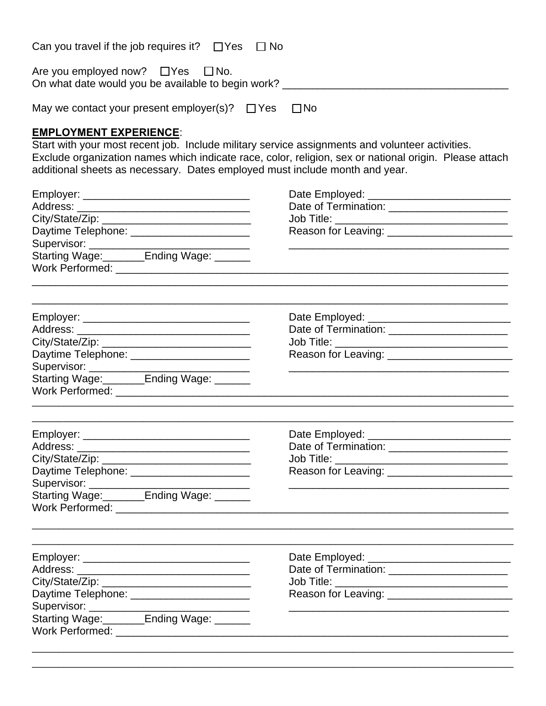| Can you travel if the job requires it? $\Box$ Yes $\Box$ No                                                                     |                                                                                                                                                                                                           |
|---------------------------------------------------------------------------------------------------------------------------------|-----------------------------------------------------------------------------------------------------------------------------------------------------------------------------------------------------------|
| Are you employed now? $\Box$ Yes $\Box$ No.<br>On what date would you be available to begin work? _____________________________ |                                                                                                                                                                                                           |
| May we contact your present employer(s)? $\Box$ Yes                                                                             | $\square$ No                                                                                                                                                                                              |
| <b>EMPLOYMENT EXPERIENCE:</b><br>additional sheets as necessary. Dates employed must include month and year.                    | Start with your most recent job. Include military service assignments and volunteer activities.<br>Exclude organization names which indicate race, color, religion, sex or national origin. Please attach |
|                                                                                                                                 |                                                                                                                                                                                                           |
|                                                                                                                                 | Date of Termination: _______________________                                                                                                                                                              |
|                                                                                                                                 |                                                                                                                                                                                                           |
| Daytime Telephone: ________________________                                                                                     |                                                                                                                                                                                                           |
|                                                                                                                                 | <u> 1989 - John Stone, amerikansk politiker (d. 1989)</u>                                                                                                                                                 |
|                                                                                                                                 |                                                                                                                                                                                                           |
|                                                                                                                                 |                                                                                                                                                                                                           |
|                                                                                                                                 |                                                                                                                                                                                                           |
| Daytime Telephone: ________________________                                                                                     |                                                                                                                                                                                                           |
| Supervisor: $\frac{1}{1}$<br>Starting Wage: _______Ending Wage: ______                                                          |                                                                                                                                                                                                           |
|                                                                                                                                 |                                                                                                                                                                                                           |
|                                                                                                                                 |                                                                                                                                                                                                           |
| Address:                                                                                                                        | Date of Termination: _______________________                                                                                                                                                              |
|                                                                                                                                 |                                                                                                                                                                                                           |
| Daytime Telephone: _______________________                                                                                      |                                                                                                                                                                                                           |
|                                                                                                                                 |                                                                                                                                                                                                           |
|                                                                                                                                 |                                                                                                                                                                                                           |
|                                                                                                                                 |                                                                                                                                                                                                           |
|                                                                                                                                 | Date of Termination: _______________________                                                                                                                                                              |
|                                                                                                                                 |                                                                                                                                                                                                           |
| Daytime Telephone: _________________________                                                                                    |                                                                                                                                                                                                           |
|                                                                                                                                 | <u> 1989 - Johann Stein, mars an deutscher Stein und der Stein und der Stein und der Stein und der Stein und der</u>                                                                                      |
| Starting Wage: _______Ending Wage: ______                                                                                       |                                                                                                                                                                                                           |
|                                                                                                                                 |                                                                                                                                                                                                           |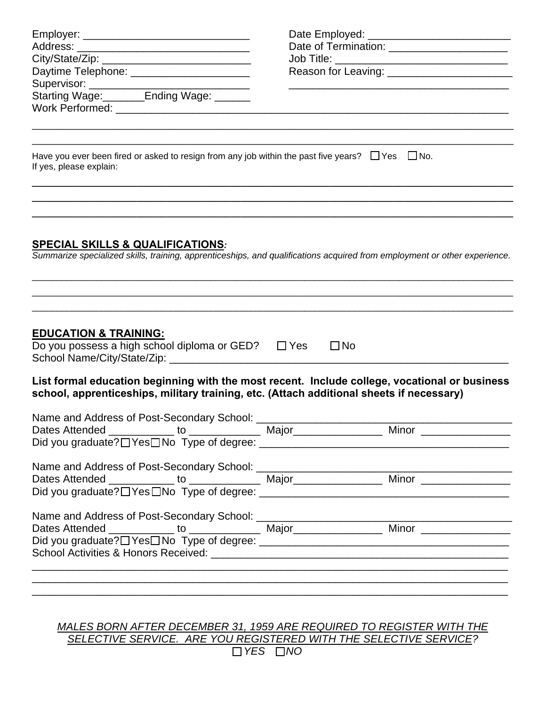| Daytime Telephone: _______________________                                                                                            | Date of Termination: _______________________<br>Reason for Leaving: ___________________________                           |
|---------------------------------------------------------------------------------------------------------------------------------------|---------------------------------------------------------------------------------------------------------------------------|
| Have you ever been fired or asked to resign from any job within the past five years? $\Box$ Yes $\Box$ No.<br>If yes, please explain: |                                                                                                                           |
| <b>SPECIAL SKILLS &amp; QUALIFICATIONS:</b>                                                                                           | Summarize specialized skills, training, apprenticeships, and qualifications acquired from employment or other experience. |
| <b>EDUCATION &amp; TRAINING:</b><br>Do you possess a high school diploma or $GED?$ $\Box$ Yes                                         | $\square$ No                                                                                                              |
| school, apprenticeships, military training, etc. (Attach additional sheets if necessary)                                              | List formal education beginning with the most recent. Include college, vocational or business                             |
| Name and Address of Post-Secondary School:                                                                                            |                                                                                                                           |
|                                                                                                                                       |                                                                                                                           |
|                                                                                                                                       |                                                                                                                           |
|                                                                                                                                       |                                                                                                                           |

*MALES BORN AFTER DECEMBER 31, 1959 ARE REQUIRED TO REGISTER WITH THE SELECTIVE SERVICE. ARE YOU REGISTERED WITH THE SELECTIVE SERVICE? YES NO*